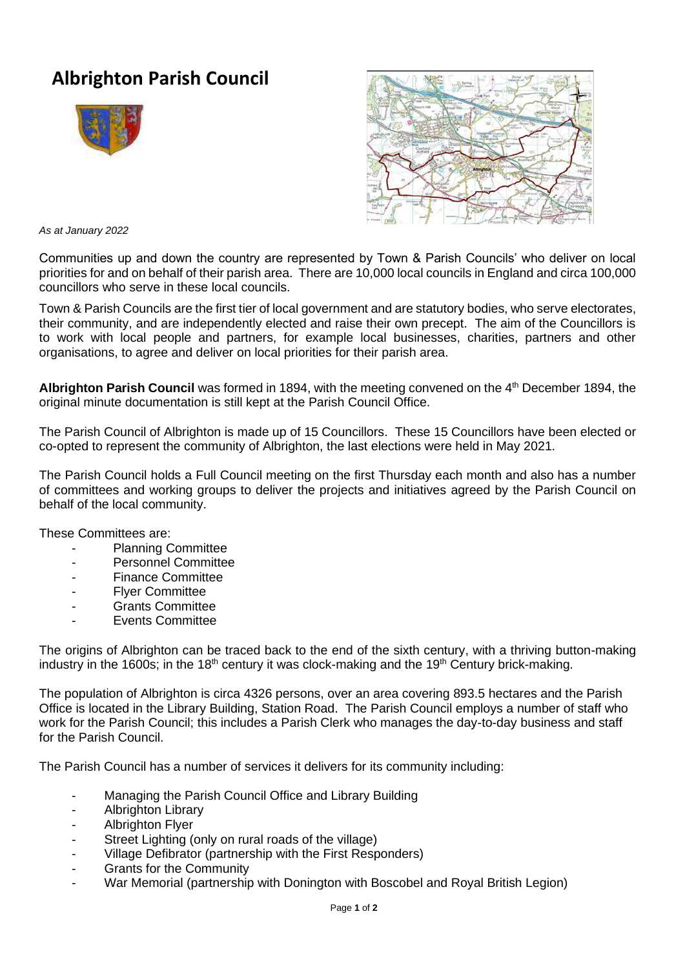## **Albrighton Parish Council**





*As at January 2022*

Communities up and down the country are represented by Town & Parish Councils' who deliver on local priorities for and on behalf of their parish area. There are 10,000 local councils in England and circa 100,000 councillors who serve in these local councils.

Town & Parish Councils are the first tier of local government and are statutory bodies, who serve electorates, their community, and are independently elected and raise their own precept. The aim of the Councillors is to work with local people and partners, for example local businesses, charities, partners and other organisations, to agree and deliver on local priorities for their parish area.

Albrighton Parish Council was formed in 1894, with the meeting convened on the 4<sup>th</sup> December 1894, the original minute documentation is still kept at the Parish Council Office.

The Parish Council of Albrighton is made up of 15 Councillors. These 15 Councillors have been elected or co-opted to represent the community of Albrighton, the last elections were held in May 2021.

The Parish Council holds a Full Council meeting on the first Thursday each month and also has a number of committees and working groups to deliver the projects and initiatives agreed by the Parish Council on behalf of the local community.

These Committees are:

- Planning Committee
- Personnel Committee
- Finance Committee
- Flyer Committee
- Grants Committee
- Events Committee

The origins of Albrighton can be traced back to the end of the sixth century, with a thriving button-making industry in the 1600s; in the 18<sup>th</sup> century it was clock-making and the 19<sup>th</sup> Century brick-making.

The population of Albrighton is circa 4326 persons, over an area covering 893.5 hectares and the Parish Office is located in the Library Building, Station Road. The Parish Council employs a number of staff who work for the Parish Council; this includes a Parish Clerk who manages the day-to-day business and staff for the Parish Council.

The Parish Council has a number of services it delivers for its community including:

- Managing the Parish Council Office and Library Building
- Albrighton Library
- Albrighton Flyer
- Street Lighting (only on rural roads of the village)
- Village Defibrator (partnership with the First Responders)
- Grants for the Community
- War Memorial (partnership with Donington with Boscobel and Royal British Legion)